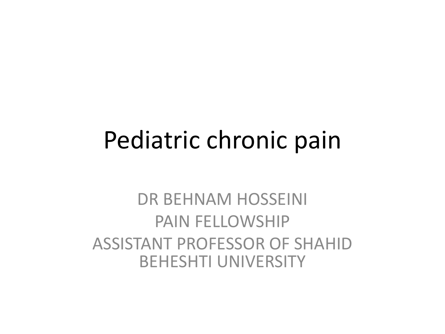### Pediatric chronic pain

### DR BEHNAM HOSSEINI PAIN FELLOWSHIP ASSISTANT PROFESSOR OF SHAHID BEHESHTI UNIVERSITY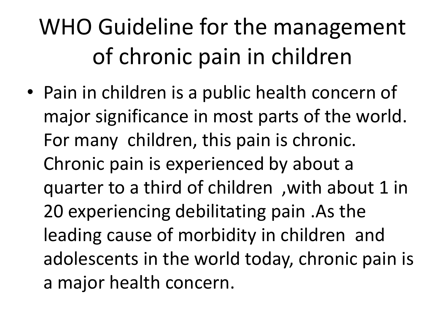### WHO Guideline for the management of chronic pain in children

• Pain in children is a public health concern of major significance in most parts of the world. For many children, this pain is chronic. Chronic pain is experienced by about a quarter to a third of children ,with about 1 in 20 experiencing debilitating pain .As the leading cause of morbidity in children and adolescents in the world today, chronic pain is a major health concern.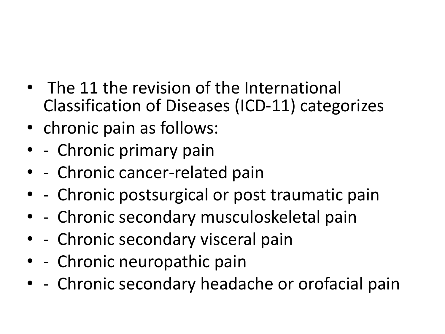- The 11 the revision of the International Classification of Diseases (ICD-11) categorizes
- chronic pain as follows:
- - Chronic primary pain
- - Chronic cancer-related pain
- - Chronic postsurgical or post traumatic pain
- - Chronic secondary musculoskeletal pain
- - Chronic secondary visceral pain
- - Chronic neuropathic pain
- - Chronic secondary headache or orofacial pain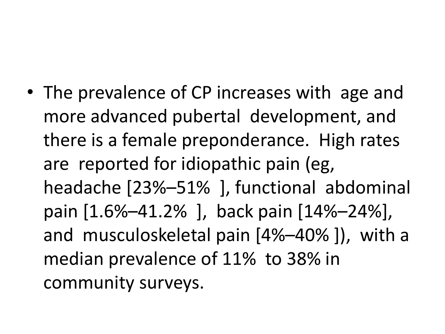• The prevalence of CP increases with age and more advanced pubertal development, and there is a female preponderance. High rates are reported for idiopathic pain (eg, headache [23%–51% ], functional abdominal pain [1.6%–41.2% ], back pain [14%–24%], and musculoskeletal pain [4%–40% ]), with a median prevalence of 11% to 38% in community surveys.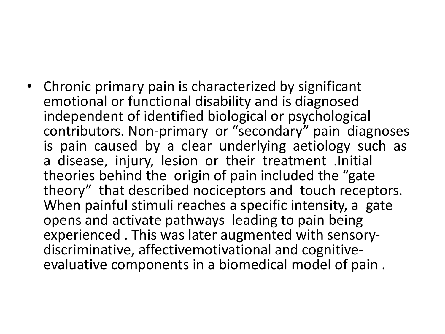• Chronic primary pain is characterized by significant emotional or functional disability and is diagnosed independent of identified biological or psychological contributors. Non-primary or "secondary" pain diagnoses is pain caused by a clear underlying aetiology such as a disease, injury, lesion or their treatment .Initial theories behind the origin of pain included the "gate theory" that described nociceptors and touch receptors. When painful stimuli reaches a specific intensity, a gate opens and activate pathways leading to pain being experienced . This was later augmented with sensorydiscriminative, affectivemotivational and cognitiveevaluative components in a biomedical model of pain .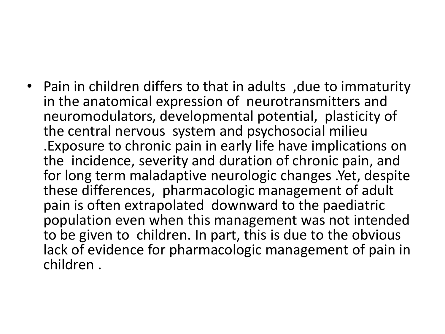• Pain in children differs to that in adults ,due to immaturity in the anatomical expression of neurotransmitters and neuromodulators, developmental potential, plasticity of the central nervous system and psychosocial milieu .Exposure to chronic pain in early life have implications on the incidence, severity and duration of chronic pain, and for long term maladaptive neurologic changes .Yet, despite these differences, pharmacologic management of adult pain is often extrapolated downward to the paediatric population even when this management was not intended to be given to children. In part, this is due to the obvious lack of evidence for pharmacologic management of pain in children .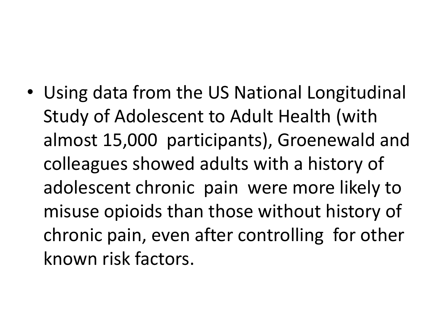• Using data from the US National Longitudinal Study of Adolescent to Adult Health (with almost 15,000 participants), Groenewald and colleagues showed adults with a history of adolescent chronic pain were more likely to misuse opioids than those without history of chronic pain, even after controlling for other known risk factors.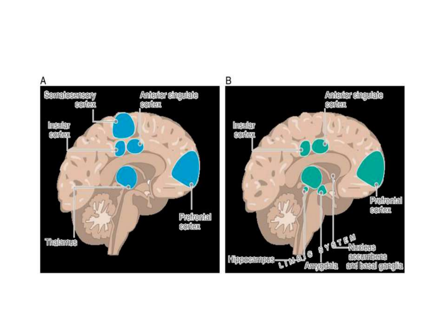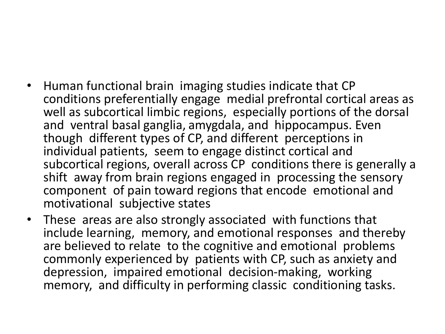- Human functional brain imaging studies indicate that CP conditions preferentially engage medial prefrontal cortical areas as well as subcortical limbic regions, especially portions of the dorsal and ventral basal ganglia, amygdala, and hippocampus. Even though different types of CP, and different perceptions in individual patients, seem to engage distinct cortical and subcortical regions, overall across CP conditions there is generally a shift away from brain regions engaged in processing the sensory component of pain toward regions that encode emotional and motivational subjective states
- These areas are also strongly associated with functions that include learning, memory, and emotional responses and thereby are believed to relate to the cognitive and emotional problems commonly experienced by patients with CP, such as anxiety and depression, impaired emotional decision-making, working memory, and difficulty in performing classic conditioning tasks.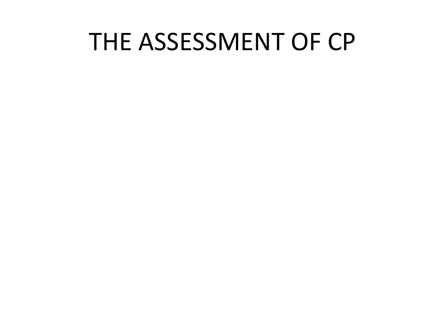### THE ASSESSMENT OF CP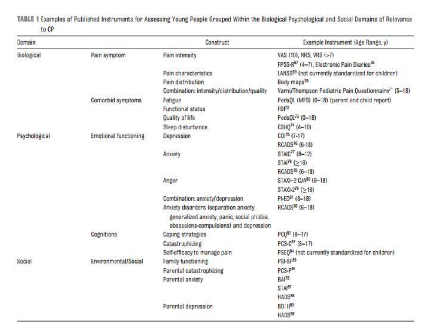TABLE 1 Examples of Published Instruments for Assessing Young People Grouped Within the Biological Psychological and Social Domains of Relevance to CP

| Domain        |                              | Construct                                                                            | Example Instrument (Age Range, y)                                 |
|---------------|------------------------------|--------------------------------------------------------------------------------------|-------------------------------------------------------------------|
| Biological    | Pain symptom                 | Pain intensity                                                                       | VAS (10), NRS, VRS (>7)                                           |
|               |                              |                                                                                      | FPSS-R <sup>67</sup> (4-7), Electronic Pain Diaries <sup>68</sup> |
|               |                              | Pain characteristics                                                                 | LANSS <sup>68</sup> (not currently standardized for children)     |
|               |                              | Pain distribution                                                                    | Body maps <sup>70</sup>                                           |
|               |                              | Combination: intensity/distribution/quality                                          | Varni/Thompson Pediatric Pain Questionnaire <sup>71</sup> (5-18)  |
|               | Cornorbid symptoms           | Fatigue                                                                              | PedsQL (MFS) (0-18) (parent and child report).                    |
|               |                              | Functional status                                                                    | $FDI^{72}$                                                        |
|               |                              | <b>Quality of life</b>                                                               | PedsQL73 (0-18)                                                   |
|               |                              | Sleep disturbance                                                                    | $CSHO74$ (4-10)                                                   |
| Psychological | <b>Emotional functioning</b> | Depression                                                                           | $CDI^{75}$ (7-17)                                                 |
|               |                              |                                                                                      | RCADS <sup>76</sup> (6-18)                                        |
|               |                              | Anxiety                                                                              | STAIC <sup>77</sup> (8-12)                                        |
|               |                              |                                                                                      | STAI <sup>78</sup> ( $\geq$ 16)                                   |
|               |                              |                                                                                      | RCADS <sup>79</sup> (6-18)                                        |
|               |                              | Anger                                                                                | STAXI-2 C/A <sup>80</sup> (9-18)                                  |
|               |                              |                                                                                      | $STAXI-2^{78} (>16)$                                              |
|               |                              | Combination: anxiety/depression                                                      | PI-ED <sup>81</sup> (8-18)                                        |
|               |                              | Anxiety disorders (separation anxiety,<br>generalized anxiety, panic, social phobia, | RCADS <sup>76</sup> (6-18)                                        |
|               |                              | obsessions-compulsions) and depression                                               | PCO82 (8-17)                                                      |
|               | Cognitions                   | Coping strategies                                                                    |                                                                   |
|               |                              | Catastrophizing                                                                      | $PCS-C^{85}$ (8-17)                                               |
|               |                              | Self-efficacy to manage pain                                                         | PSEQ <sup>84</sup> (not currently standardized for children)      |
| Social        | Environmental/Social         | Farnily functioning                                                                  | PSI-SF85                                                          |
|               |                              | Parental catastrophizing                                                             | PCS-P <sup>86</sup>                                               |
|               |                              | Parental anxiety                                                                     | BAI <sup>78</sup>                                                 |
|               |                              |                                                                                      | STAI <sup>87</sup>                                                |
|               |                              |                                                                                      | HADS <sup>88</sup>                                                |
|               |                              | Parental depression                                                                  | <b>BDI #89</b>                                                    |
|               |                              |                                                                                      | HADS <sup>88</sup>                                                |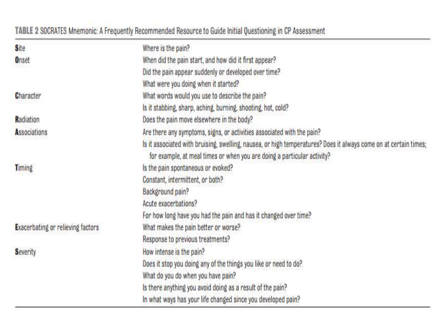#### TABLE 2 SOCRATES Mnemonic: A Frequently Recommended Resource to Guide Initial Questioning in CP Assessment

| <b>S</b> ite                             | Where is the pain?                                                                                                                                                                          |
|------------------------------------------|---------------------------------------------------------------------------------------------------------------------------------------------------------------------------------------------|
| Onset                                    | When did the pain start, and how did it first appear?                                                                                                                                       |
|                                          | Did the pain appear suddenly or developed over time?                                                                                                                                        |
|                                          | What were you doing when it started?                                                                                                                                                        |
| <b>Character</b>                         | What words would you use to describe the pain?                                                                                                                                              |
|                                          | Is it stabbing, sharp, aching, burning, shooting, hot, cold?                                                                                                                                |
| Radiation                                | Does the pain move elsewhere in the body?                                                                                                                                                   |
| Associations                             | Are there any symptoms, signs, or activities associated with the pain?                                                                                                                      |
|                                          | Is it associated with bruising, swelling, nausea, or high temperatures? Does it always come on at certain times;<br>for example, at meal times or when you are doing a particular activity? |
| Timing                                   | Is the pain spontaneous or evoked?                                                                                                                                                          |
|                                          | Constant, intermittent, or both?                                                                                                                                                            |
|                                          | Background pain?                                                                                                                                                                            |
|                                          | Acute exacerbations?                                                                                                                                                                        |
|                                          | For how long have you had the pain and has it changed over time?                                                                                                                            |
| <b>Exacerbating or relieving factors</b> | What makes the pain better or worse?                                                                                                                                                        |
|                                          | Response to previous treatments?                                                                                                                                                            |
| <b>Severity</b>                          | How intense is the pain?                                                                                                                                                                    |
|                                          | Does it stop you doing any of the things you like or need to do?                                                                                                                            |
|                                          | What do you do when you have pain?                                                                                                                                                          |
|                                          | Is there anything you avoid doing as a result of the pain?                                                                                                                                  |
|                                          | In what ways has your life changed since you developed pain?                                                                                                                                |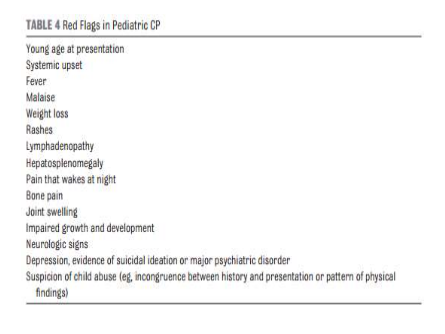Young age at presentation Systemic upset Fever Malaise Weight loss Rashes Lymphadenopathy Hepatosplenomegaly Pain that wakes at night Bone pain Joint swelling Impaired growth and development Neurologic signs Depression, evidence of suicidal ideation or major psychiatric disorder Suspicion of child abuse (eg, incongruence between history and presentation or pattern of physical findings)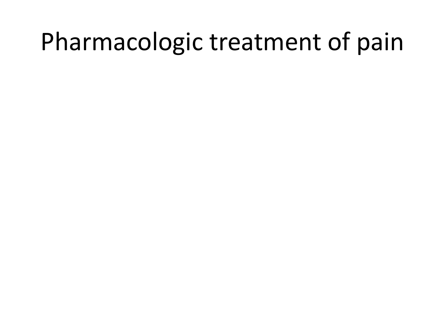### Pharmacologic treatment of pain

- 
- 
- 
- 
- 
- 
-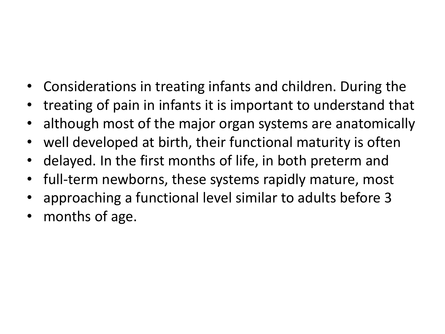- Considerations in treating infants and children. During the
- treating of pain in infants it is important to understand that
- although most of the major organ systems are anatomically
- well developed at birth, their functional maturity is often
- delayed. In the first months of life, in both preterm and
- full-term newborns, these systems rapidly mature, most
- approaching a functional level similar to adults before 3
- months of age.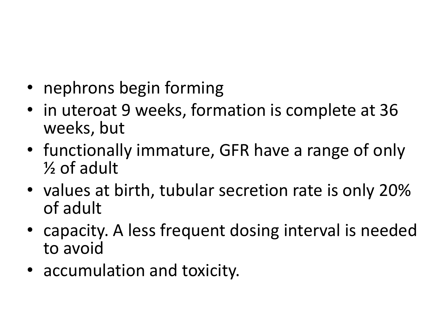- nephrons begin forming
- in uteroat 9 weeks, formation is complete at 36 weeks, but
- functionally immature, GFR have a range of only ½ of adult
- values at birth, tubular secretion rate is only 20% of adult
- capacity. A less frequent dosing interval is needed to avoid
- accumulation and toxicity.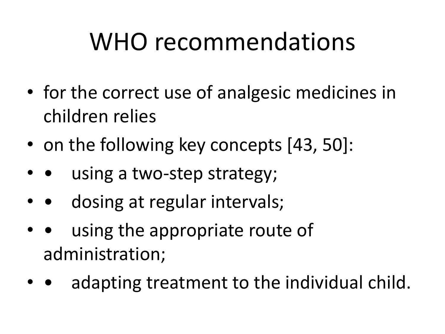## WHO recommendations

- for the correct use of analgesic medicines in children relies
- on the following key concepts [43, 50]:
- using a two-step strategy;
- • dosing at regular intervals;
- using the appropriate route of administration;
- adapting treatment to the individual child.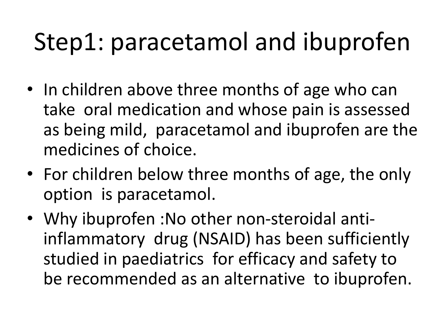# Step1: paracetamol and ibuprofen

- In children above three months of age who can take oral medication and whose pain is assessed as being mild, paracetamol and ibuprofen are the medicines of choice.
- For children below three months of age, the only option is paracetamol.
- Why ibuprofen :No other non-steroidal antiinflammatory drug (NSAID) has been sufficiently studied in paediatrics for efficacy and safety to be recommended as an alternative to ibuprofen.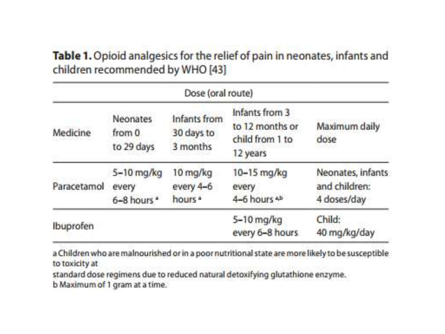#### Table 1. Opioid analgesics for the relief of pain in neonates, infants and children recommended by WHO [43]

| Dose (oral route) |                                         |                                             |                                                                  |                                                   |
|-------------------|-----------------------------------------|---------------------------------------------|------------------------------------------------------------------|---------------------------------------------------|
| Medicine          | <b>Neonates</b><br>from 0<br>to 29 days | Infants from<br>30 days to<br>3 months      | Infants from 3<br>to 12 months or<br>child from 1 to<br>12 years | Maximum daily<br>dose                             |
| Paracetamol       | 5-10 mg/kg<br>every<br>6-8 hours *      | 10 mg/kg<br>every 4-6<br>hours <sup>a</sup> | 10-15 mg/kg<br>every<br>4-6 hours <sup>4b</sup>                  | Neonates, infants<br>and children:<br>4 doses/day |
| Ibuprofen         |                                         |                                             | 5-10 mg/kg<br>every 6-8 hours                                    | Child:<br>40 mg/kg/day                            |

a Children who are malnourished or in a poor nutritional state are more likely to be susceptible to toxicity at

standard dose regimens due to reduced natural detoxifying glutathione enzyme. b Maximum of 1 gram at a time.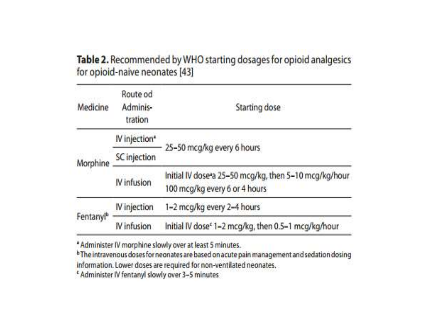#### Table 2. Recommended by WHO starting dosages for opioid analgesics for opioid-naive neonates [43]

| Medicine              | Route od<br>Adminis-<br>tration | Starting dose                                                                          |  |
|-----------------------|---------------------------------|----------------------------------------------------------------------------------------|--|
| Morphine              | IV injection*                   |                                                                                        |  |
|                       | SC injection                    | 25-50 mcg/kg every 6 hours                                                             |  |
|                       | IV infusion                     | Initial IV dose a 25-50 mcg/kg, then 5-10 mcg/kg/hour<br>100 mcg/kg every 6 or 4 hours |  |
| Fentanyl <sup>b</sup> | IV injection                    | 1-2 mcg/kg every 2-4 hours                                                             |  |
|                       | IV infusion                     | Initial IV dose <sup>e</sup> 1-2 mcg/kg, then 0.5-1 mcg/kg/hour                        |  |

\* Administer IV morphine slowly over at least 5 minutes.

<sup>b</sup> The intravenous doses for neonates are based on acute pain management and sedation dosing information. Lower doses are required for non-ventilated neonates.

<sup>e</sup> Administer IV fentanyl slowly over 3-5 minutes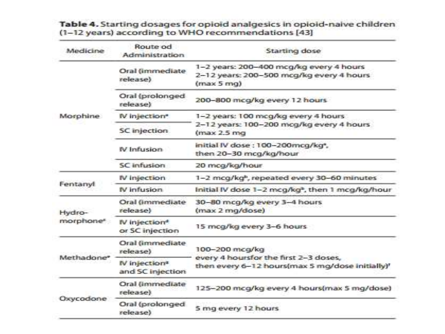| Medicine                        | Route od<br>Administration                    | Starting dose                                                                                        |  |
|---------------------------------|-----------------------------------------------|------------------------------------------------------------------------------------------------------|--|
|                                 | Oral (immediate)<br>release)                  | 1-2 years: 200-400 mcg/kg every 4 hours<br>2-12 years: 200-500 mcg/kg every 4 hours<br>(max 5 mq)    |  |
|                                 | Oral (prolonged<br>release)                   | 200-800 mcg/kg every 12 hours                                                                        |  |
| Morphine                        | IV injection <sup>®</sup>                     | 1-2 years: 100 mcg/kg every 4 hours                                                                  |  |
|                                 | SC injection.                                 | 2-12 years: 100-200 mcg/kg every 4 hours<br>(max 2.5 mg)                                             |  |
|                                 | IV Infusion                                   | initial IV dose: 100-200mcg/kg <sup>a</sup> ,<br>then 20-30 mcg/kg/hour                              |  |
|                                 | SC infusion                                   | 20 mca/ka/hour                                                                                       |  |
|                                 | IV injection                                  | 1-2 mcg/kgb, repeated every 30-60 minutes                                                            |  |
| Fentanyl                        | IV infusion                                   | Initial IV dose 1-2 mcg/kg <sup>2</sup> , then 1 mcg/kg/hour                                         |  |
| Hydro-<br>morphone <sup>s</sup> | Oral (immediate<br>release)                   | 30-80 mcg/kg every 3-4 hours<br>(max 2 mg/dose)                                                      |  |
|                                 | IV injection <sup>*</sup><br>or SC injection  | 15 mcg/kg every 3-6 hours                                                                            |  |
| Methadone                       | Oral (immediate)<br>release)                  | 100-200 mcg/kg                                                                                       |  |
|                                 | IV injection <sup>®</sup><br>and SC injection | every 4 hoursfor the first 2-3 doses,<br>then every 6-12 hours(max 5 mg/dose initially) <sup>1</sup> |  |
| Oxycodone                       | Oral (immediate<br>release)                   | 125-200 mcg/kg every 4 hours(max 5 mg/dose)                                                          |  |
|                                 | Oral (prolonged<br>release)                   | 5 mg every 12 hours                                                                                  |  |

### Table 4. Starting dosages for opioid analgesics in opioid-naive children<br>(1-12 years) according to WHO recommendations [43]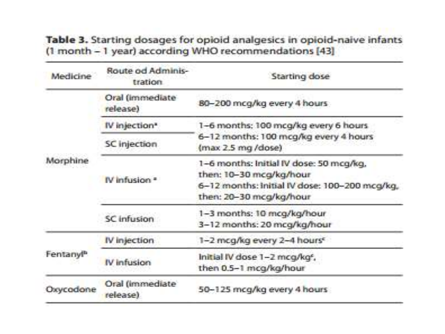Table 3. Starting dosages for opioid analgesics in opioid-naive infants (1 month - 1 year) according WHO recommendations [43]

| Medicine              | Route od Adminis-<br>tration | Starting dose                                                                                                                                  |  |
|-----------------------|------------------------------|------------------------------------------------------------------------------------------------------------------------------------------------|--|
|                       | Oral (immediate<br>release)  | B0-200 mcg/kg every 4 hours                                                                                                                    |  |
|                       | IV injection <sup>*</sup>    | 1-6 months: 100 mcg/kg every 6 hours<br>6-12 months: 100 mcg/kg every 4 hours<br>(max 2.5 mg /dose)                                            |  |
| Morphine              | SC injection                 |                                                                                                                                                |  |
|                       | IV infusion *                | 1-6 months: Initial IV dose: 50 mcg/kg,<br>then: 10-30 mcg/kg/hour<br>6-12 months: Initial IV dose: 100-200 mcg/kg,<br>then: 20-30 mcg/kg/hour |  |
|                       | SC infusion                  | 1-3 months: 10 mcg/kg/hour<br>3-12 months: 20 mcg/kg/hour                                                                                      |  |
| Fentanyl <sup>b</sup> | IV injection                 | 1-2 mcg/kg every 2-4 hours <sup>c</sup>                                                                                                        |  |
|                       | IV infusion                  | Initial IV dose 1-2 mcg/kg <sup>e</sup> ,<br>then 0.5-1 mcg/kg/hour                                                                            |  |
| Oxycodone             | Oral (immediate)<br>release) | 50-125 mcg/kg every 4 hours                                                                                                                    |  |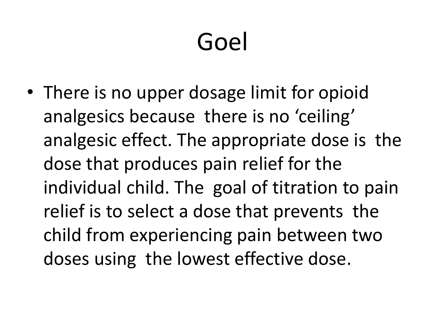# Goel

• There is no upper dosage limit for opioid analgesics because there is no 'ceiling' analgesic effect. The appropriate dose is the dose that produces pain relief for the individual child. The goal of titration to pain relief is to select a dose that prevents the child from experiencing pain between two doses using the lowest effective dose.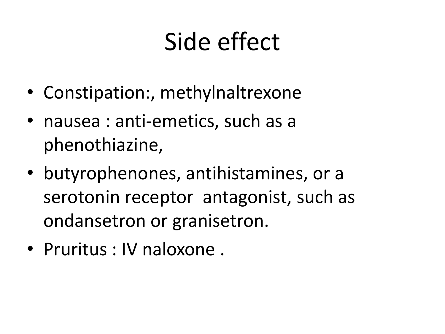## Side effect

- Constipation:, methylnaltrexone
- nausea : anti-emetics, such as a phenothiazine,
- butyrophenones, antihistamines, or a serotonin receptor antagonist, such as ondansetron or granisetron.
- Pruritus : IV naloxone .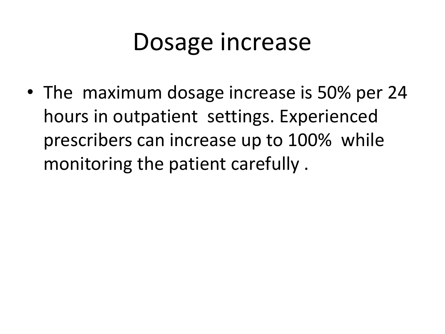## Dosage increase

• The maximum dosage increase is 50% per 24 hours in outpatient settings. Experienced prescribers can increase up to 100% while monitoring the patient carefully .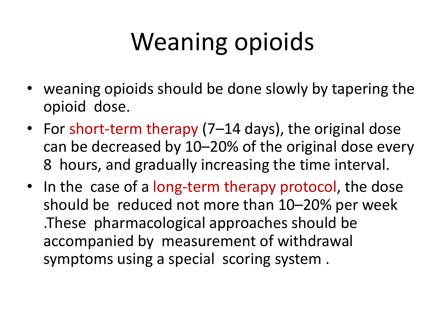# Weaning opioids

- weaning opioids should be done slowly by tapering the opioid dose.
- For short-term therapy (7–14 days), the original dose can be decreased by 10–20% of the original dose every 8 hours, and gradually increasing the time interval.
- In the case of a long-term therapy protocol, the dose should be reduced not more than 10–20% per week .These pharmacological approaches should be accompanied by measurement of withdrawal symptoms using a special scoring system .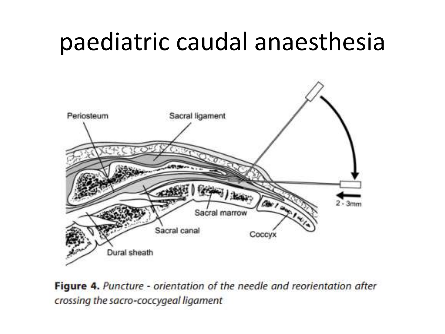### paediatric caudal anaesthesia



Figure 4. Puncture - orientation of the needle and reorientation after crossing the sacro-coccygeal ligament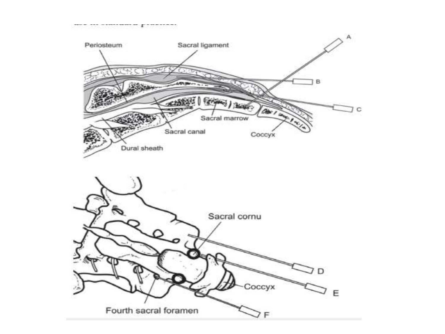